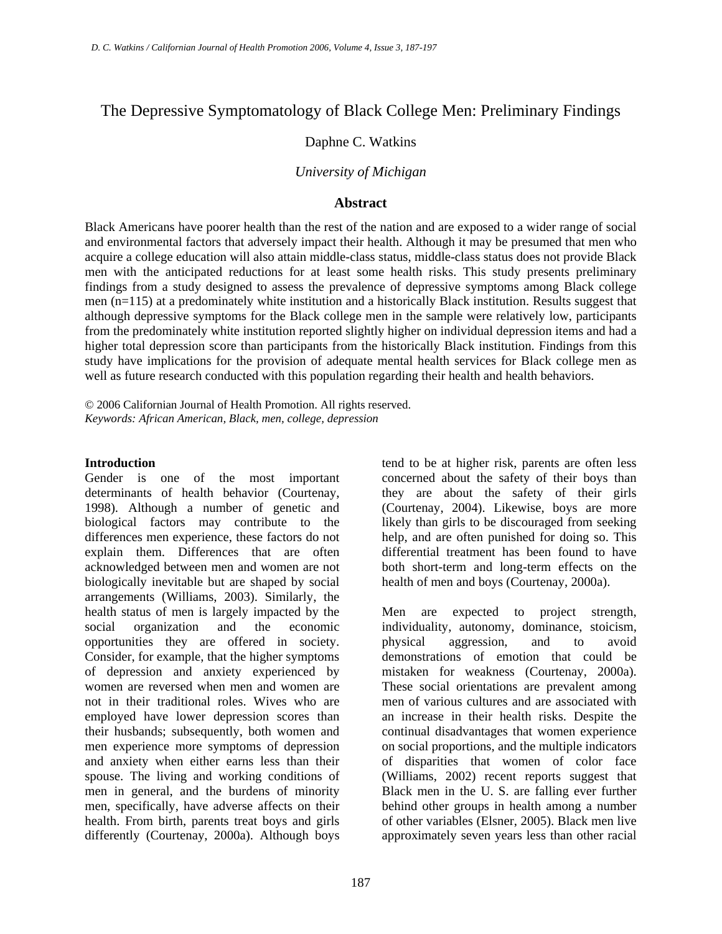# The Depressive Symptomatology of Black College Men: Preliminary Findings

### Daphne C. Watkins

### *University of Michigan*

#### **Abstract**

Black Americans have poorer health than the rest of the nation and are exposed to a wider range of social and environmental factors that adversely impact their health. Although it may be presumed that men who acquire a college education will also attain middle-class status, middle-class status does not provide Black men with the anticipated reductions for at least some health risks. This study presents preliminary findings from a study designed to assess the prevalence of depressive symptoms among Black college men (n=115) at a predominately white institution and a historically Black institution. Results suggest that although depressive symptoms for the Black college men in the sample were relatively low, participants from the predominately white institution reported slightly higher on individual depression items and had a higher total depression score than participants from the historically Black institution. Findings from this study have implications for the provision of adequate mental health services for Black college men as well as future research conducted with this population regarding their health and health behaviors.

© 2006 Californian Journal of Health Promotion. All rights reserved. *Keywords: African American, Black, men, college, depression* 

#### **Introduction**

Gender is one of the most important determinants of health behavior (Courtenay, 1998). Although a number of genetic and biological factors may contribute to the differences men experience, these factors do not explain them. Differences that are often acknowledged between men and women are not biologically inevitable but are shaped by social arrangements (Williams, 2003). Similarly, the health status of men is largely impacted by the social organization and the economic opportunities they are offered in society. Consider, for example, that the higher symptoms of depression and anxiety experienced by women are reversed when men and women are not in their traditional roles. Wives who are employed have lower depression scores than their husbands; subsequently, both women and men experience more symptoms of depression and anxiety when either earns less than their spouse. The living and working conditions of men in general, and the burdens of minority men, specifically, have adverse affects on their health. From birth, parents treat boys and girls differently (Courtenay, 2000a). Although boys

tend to be at higher risk, parents are often less concerned about the safety of their boys than they are about the safety of their girls (Courtenay, 2004). Likewise, boys are more likely than girls to be discouraged from seeking help, and are often punished for doing so. This differential treatment has been found to have both short-term and long-term effects on the health of men and boys (Courtenay, 2000a).

Men are expected to project strength, individuality, autonomy, dominance, stoicism, physical aggression, and to avoid demonstrations of emotion that could be mistaken for weakness (Courtenay, 2000a). These social orientations are prevalent among men of various cultures and are associated with an increase in their health risks. Despite the continual disadvantages that women experience on social proportions, and the multiple indicators of disparities that women of color face (Williams, 2002) recent reports suggest that Black men in the U. S. are falling ever further behind other groups in health among a number of other variables (Elsner, 2005). Black men live approximately seven years less than other racial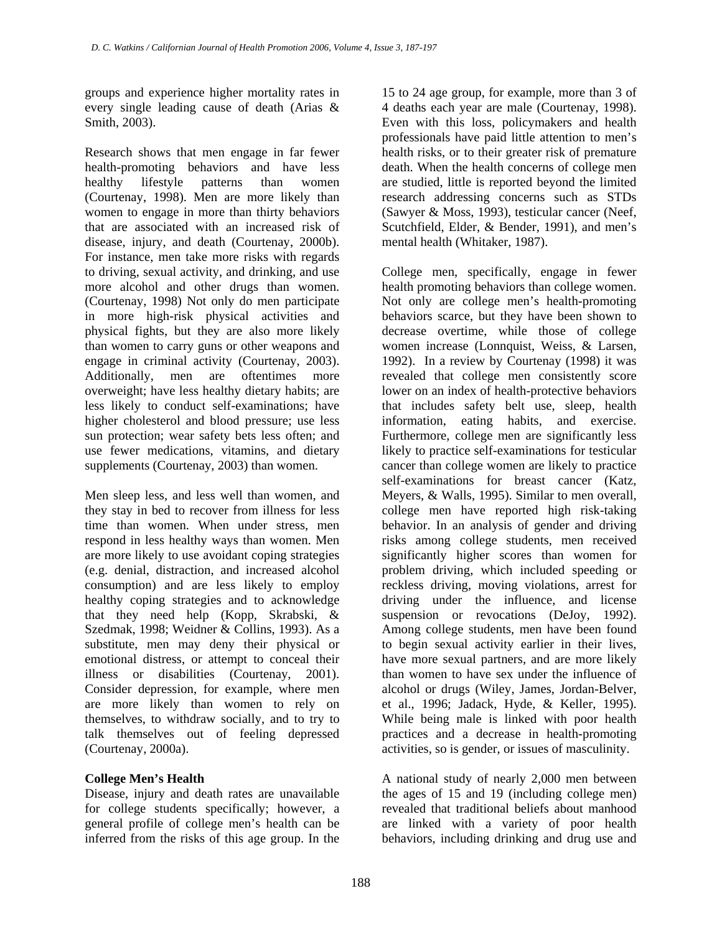groups and experience higher mortality rates in every single leading cause of death (Arias & Smith, 2003).

Research shows that men engage in far fewer health-promoting behaviors and have less healthy lifestyle patterns than women (Courtenay, 1998). Men are more likely than women to engage in more than thirty behaviors that are associated with an increased risk of disease, injury, and death (Courtenay, 2000b). For instance, men take more risks with regards to driving, sexual activity, and drinking, and use more alcohol and other drugs than women. (Courtenay, 1998) Not only do men participate in more high-risk physical activities and physical fights, but they are also more likely than women to carry guns or other weapons and engage in criminal activity (Courtenay, 2003). Additionally, men are oftentimes more overweight; have less healthy dietary habits; are less likely to conduct self-examinations; have higher cholesterol and blood pressure; use less sun protection; wear safety bets less often; and use fewer medications, vitamins, and dietary supplements (Courtenay, 2003) than women.

Men sleep less, and less well than women, and they stay in bed to recover from illness for less time than women. When under stress, men respond in less healthy ways than women. Men are more likely to use avoidant coping strategies (e.g. denial, distraction, and increased alcohol consumption) and are less likely to employ healthy coping strategies and to acknowledge that they need help (Kopp, Skrabski, & Szedmak, 1998; Weidner & Collins, 1993). As a substitute, men may deny their physical or emotional distress, or attempt to conceal their illness or disabilities (Courtenay, 2001). Consider depression, for example, where men are more likely than women to rely on themselves, to withdraw socially, and to try to talk themselves out of feeling depressed (Courtenay, 2000a).

### **College Men's Health**

Disease, injury and death rates are unavailable for college students specifically; however, a general profile of college men's health can be inferred from the risks of this age group. In the

15 to 24 age group, for example, more than 3 of 4 deaths each year are male (Courtenay, 1998). Even with this loss, policymakers and health professionals have paid little attention to men's health risks, or to their greater risk of premature death. When the health concerns of college men are studied, little is reported beyond the limited research addressing concerns such as STDs (Sawyer & Moss, 1993), testicular cancer (Neef, Scutchfield, Elder, & Bender, 1991), and men's mental health (Whitaker, 1987).

College men, specifically, engage in fewer health promoting behaviors than college women. Not only are college men's health-promoting behaviors scarce, but they have been shown to decrease overtime, while those of college women increase (Lonnquist, Weiss, & Larsen, 1992). In a review by Courtenay (1998) it was revealed that college men consistently score lower on an index of health-protective behaviors that includes safety belt use, sleep, health information, eating habits, and exercise. Furthermore, college men are significantly less likely to practice self-examinations for testicular cancer than college women are likely to practice self-examinations for breast cancer (Katz, Meyers, & Walls, 1995). Similar to men overall, college men have reported high risk-taking behavior. In an analysis of gender and driving risks among college students, men received significantly higher scores than women for problem driving, which included speeding or reckless driving, moving violations, arrest for driving under the influence, and license suspension or revocations (DeJoy, 1992). Among college students, men have been found to begin sexual activity earlier in their lives, have more sexual partners, and are more likely than women to have sex under the influence of alcohol or drugs (Wiley, James, Jordan-Belver, et al., 1996; Jadack, Hyde, & Keller, 1995). While being male is linked with poor health practices and a decrease in health-promoting activities, so is gender, or issues of masculinity.

A national study of nearly 2,000 men between the ages of 15 and 19 (including college men) revealed that traditional beliefs about manhood are linked with a variety of poor health behaviors, including drinking and drug use and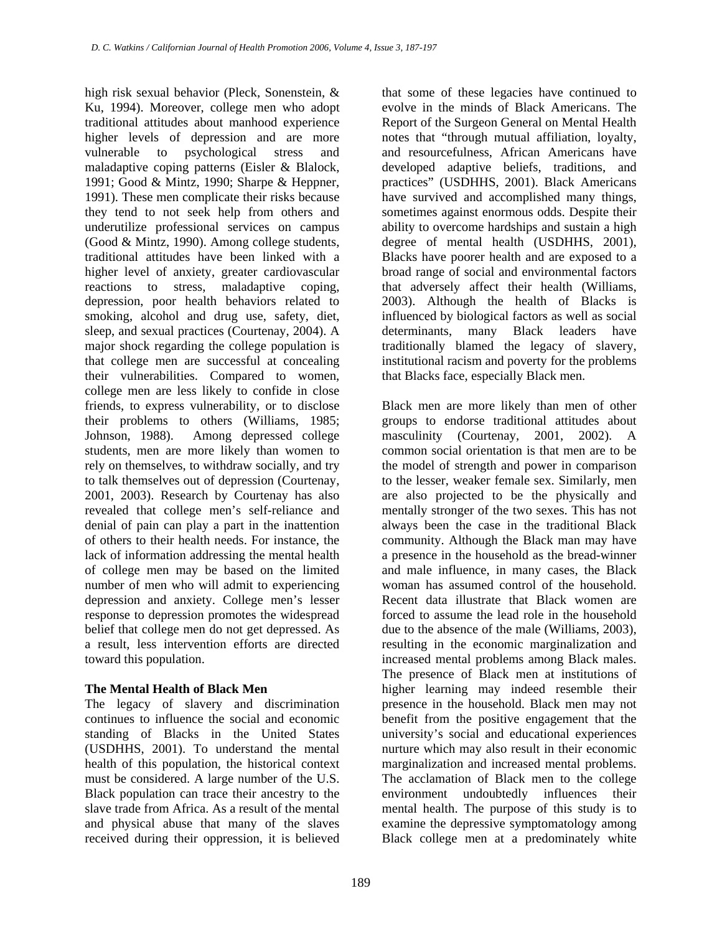high risk sexual behavior (Pleck, Sonenstein, & Ku, 1994). Moreover, college men who adopt traditional attitudes about manhood experience higher levels of depression and are more vulnerable to psychological stress and maladaptive coping patterns (Eisler & Blalock, 1991; Good & Mintz, 1990; Sharpe & Heppner, 1991). These men complicate their risks because they tend to not seek help from others and underutilize professional services on campus (Good & Mintz, 1990). Among college students, traditional attitudes have been linked with a higher level of anxiety, greater cardiovascular reactions to stress, maladaptive coping, depression, poor health behaviors related to smoking, alcohol and drug use, safety, diet, sleep, and sexual practices (Courtenay, 2004). A major shock regarding the college population is that college men are successful at concealing their vulnerabilities. Compared to women, college men are less likely to confide in close friends, to express vulnerability, or to disclose their problems to others (Williams, 1985; Johnson, 1988). Among depressed college students, men are more likely than women to rely on themselves, to withdraw socially, and try to talk themselves out of depression (Courtenay, 2001, 2003). Research by Courtenay has also revealed that college men's self-reliance and denial of pain can play a part in the inattention of others to their health needs. For instance, the lack of information addressing the mental health of college men may be based on the limited number of men who will admit to experiencing depression and anxiety. College men's lesser response to depression promotes the widespread belief that college men do not get depressed. As a result, less intervention efforts are directed toward this population.

#### **The Mental Health of Black Men**

The legacy of slavery and discrimination continues to influence the social and economic standing of Blacks in the United States (USDHHS, 2001). To understand the mental health of this population, the historical context must be considered. A large number of the U.S. Black population can trace their ancestry to the slave trade from Africa. As a result of the mental and physical abuse that many of the slaves received during their oppression, it is believed

that some of these legacies have continued to evolve in the minds of Black Americans. The Report of the Surgeon General on Mental Health notes that "through mutual affiliation, loyalty, and resourcefulness, African Americans have developed adaptive beliefs, traditions, and practices" (USDHHS, 2001). Black Americans have survived and accomplished many things, sometimes against enormous odds. Despite their ability to overcome hardships and sustain a high degree of mental health (USDHHS, 2001), Blacks have poorer health and are exposed to a broad range of social and environmental factors that adversely affect their health (Williams, 2003). Although the health of Blacks is influenced by biological factors as well as social determinants, many Black leaders have traditionally blamed the legacy of slavery, institutional racism and poverty for the problems that Blacks face, especially Black men.

Black men are more likely than men of other groups to endorse traditional attitudes about masculinity (Courtenay, 2001, 2002). A common social orientation is that men are to be the model of strength and power in comparison to the lesser, weaker female sex. Similarly, men are also projected to be the physically and mentally stronger of the two sexes. This has not always been the case in the traditional Black community. Although the Black man may have a presence in the household as the bread-winner and male influence, in many cases, the Black woman has assumed control of the household. Recent data illustrate that Black women are forced to assume the lead role in the household due to the absence of the male (Williams, 2003), resulting in the economic marginalization and increased mental problems among Black males. The presence of Black men at institutions of higher learning may indeed resemble their presence in the household. Black men may not benefit from the positive engagement that the university's social and educational experiences nurture which may also result in their economic marginalization and increased mental problems. The acclamation of Black men to the college environment undoubtedly influences their mental health. The purpose of this study is to examine the depressive symptomatology among Black college men at a predominately white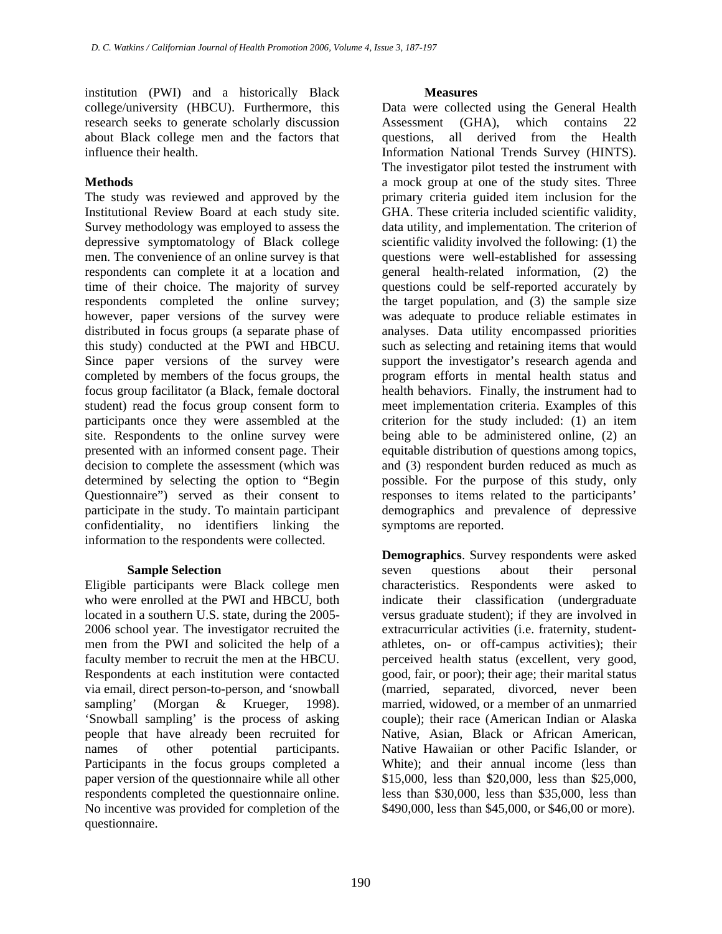institution (PWI) and a historically Black college/university (HBCU). Furthermore, this research seeks to generate scholarly discussion about Black college men and the factors that influence their health.

### **Methods**

The study was reviewed and approved by the Institutional Review Board at each study site. Survey methodology was employed to assess the depressive symptomatology of Black college men. The convenience of an online survey is that respondents can complete it at a location and time of their choice. The majority of survey respondents completed the online survey; however, paper versions of the survey were distributed in focus groups (a separate phase of this study) conducted at the PWI and HBCU. Since paper versions of the survey were completed by members of the focus groups, the focus group facilitator (a Black, female doctoral student) read the focus group consent form to participants once they were assembled at the site. Respondents to the online survey were presented with an informed consent page. Their decision to complete the assessment (which was determined by selecting the option to "Begin Questionnaire") served as their consent to participate in the study. To maintain participant confidentiality, no identifiers linking the information to the respondents were collected.

#### **Sample Selection**

Eligible participants were Black college men who were enrolled at the PWI and HBCU, both located in a southern U.S. state, during the 2005- 2006 school year. The investigator recruited the men from the PWI and solicited the help of a faculty member to recruit the men at the HBCU. Respondents at each institution were contacted via email, direct person-to-person, and 'snowball sampling' (Morgan & Krueger, 1998). 'Snowball sampling' is the process of asking people that have already been recruited for names of other potential participants. Participants in the focus groups completed a paper version of the questionnaire while all other respondents completed the questionnaire online. No incentive was provided for completion of the questionnaire.

#### **Measures**

Data were collected using the General Health Assessment (GHA), which contains 22 questions, all derived from the Health Information National Trends Survey (HINTS). The investigator pilot tested the instrument with a mock group at one of the study sites. Three primary criteria guided item inclusion for the GHA. These criteria included scientific validity, data utility, and implementation. The criterion of scientific validity involved the following: (1) the questions were well-established for assessing general health-related information, (2) the questions could be self-reported accurately by the target population, and (3) the sample size was adequate to produce reliable estimates in analyses. Data utility encompassed priorities such as selecting and retaining items that would support the investigator's research agenda and program efforts in mental health status and health behaviors. Finally, the instrument had to meet implementation criteria. Examples of this criterion for the study included: (1) an item being able to be administered online, (2) an equitable distribution of questions among topics, and (3) respondent burden reduced as much as possible. For the purpose of this study, only responses to items related to the participants' demographics and prevalence of depressive symptoms are reported.

**Demographics**. Survey respondents were asked seven questions about their personal characteristics. Respondents were asked to indicate their classification (undergraduate versus graduate student); if they are involved in extracurricular activities (i.e. fraternity, studentathletes, on- or off-campus activities); their perceived health status (excellent, very good, good, fair, or poor); their age; their marital status (married, separated, divorced, never been married, widowed, or a member of an unmarried couple); their race (American Indian or Alaska Native, Asian, Black or African American, Native Hawaiian or other Pacific Islander, or White); and their annual income (less than \$15,000, less than \$20,000, less than \$25,000, less than \$30,000, less than \$35,000, less than \$490,000, less than \$45,000, or \$46,00 or more).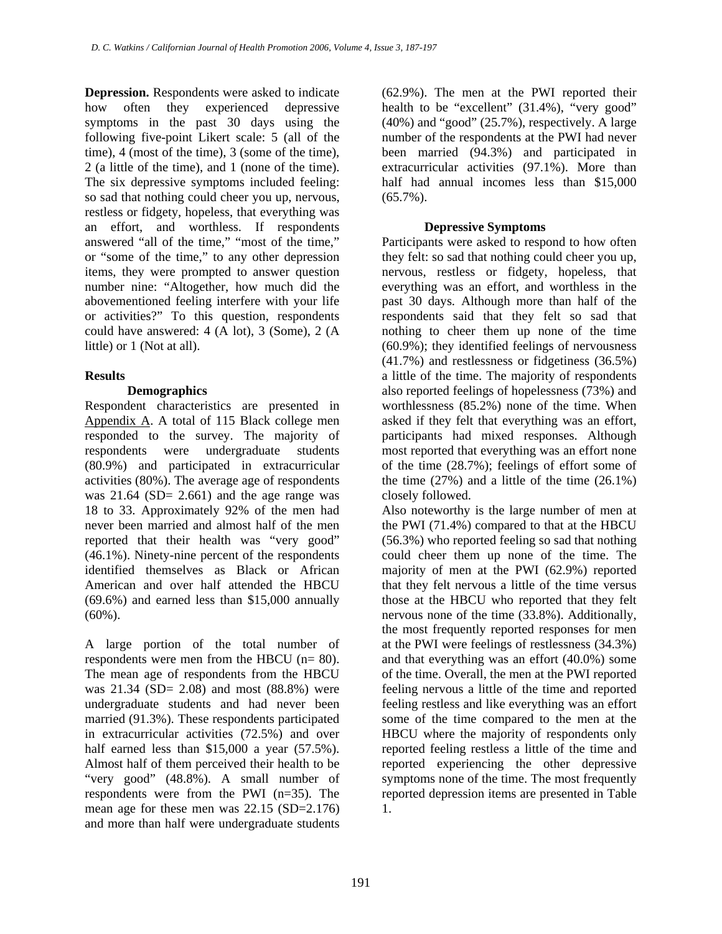**Depression.** Respondents were asked to indicate how often they experienced depressive symptoms in the past 30 days using the following five-point Likert scale: 5 (all of the time), 4 (most of the time), 3 (some of the time), 2 (a little of the time), and 1 (none of the time). The six depressive symptoms included feeling: so sad that nothing could cheer you up, nervous, restless or fidgety, hopeless, that everything was an effort, and worthless. If respondents answered "all of the time," "most of the time," or "some of the time," to any other depression items, they were prompted to answer question number nine: "Altogether, how much did the abovementioned feeling interfere with your life or activities?" To this question, respondents could have answered: 4 (A lot), 3 (Some), 2 (A little) or 1 (Not at all).

## **Results**

### **Demographics**

Respondent characteristics are presented in [Appendix A](#page-10-0). A total of 115 Black college men responded to the survey. The majority of respondents were undergraduate students (80.9%) and participated in extracurricular activities (80%). The average age of respondents was  $21.64$  (SD=  $2.661$ ) and the age range was 18 to 33. Approximately 92% of the men had never been married and almost half of the men reported that their health was "very good" (46.1%). Ninety-nine percent of the respondents identified themselves as Black or African American and over half attended the HBCU (69.6%) and earned less than \$15,000 annually (60%).

A large portion of the total number of respondents were men from the HBCU (n= 80). The mean age of respondents from the HBCU was 21.34 (SD= 2.08) and most (88.8%) were undergraduate students and had never been married (91.3%). These respondents participated in extracurricular activities (72.5%) and over half earned less than \$15,000 a year (57.5%). Almost half of them perceived their health to be "very good" (48.8%). A small number of respondents were from the PWI (n=35). The mean age for these men was 22.15 (SD=2.176) and more than half were undergraduate students

(62.9%). The men at the PWI reported their health to be "excellent" (31.4%), "very good" (40%) and "good" (25.7%), respectively. A large number of the respondents at the PWI had never been married (94.3%) and participated in extracurricular activities (97.1%). More than half had annual incomes less than \$15,000  $(65.7\%)$ .

### **Depressive Symptoms**

Participants were asked to respond to how often they felt: so sad that nothing could cheer you up, nervous, restless or fidgety, hopeless, that everything was an effort, and worthless in the past 30 days. Although more than half of the respondents said that they felt so sad that nothing to cheer them up none of the time (60.9%); they identified feelings of nervousness (41.7%) and restlessness or fidgetiness (36.5%) a little of the time. The majority of respondents also reported feelings of hopelessness (73%) and worthlessness (85.2%) none of the time. When asked if they felt that everything was an effort, participants had mixed responses. Although most reported that everything was an effort none of the time (28.7%); feelings of effort some of the time  $(27\%)$  and a little of the time  $(26.1\%)$ closely followed.

Also noteworthy is the large number of men at the PWI (71.4%) compared to that at the HBCU (56.3%) who reported feeling so sad that nothing could cheer them up none of the time. The majority of men at the PWI (62.9%) reported that they felt nervous a little of the time versus those at the HBCU who reported that they felt nervous none of the time (33.8%). Additionally, the most frequently reported responses for men at the PWI were feelings of restlessness (34.3%) and that everything was an effort (40.0%) some of the time. Overall, the men at the PWI reported feeling nervous a little of the time and reported feeling restless and like everything was an effort some of the time compared to the men at the HBCU where the majority of respondents only reported feeling restless a little of the time and reported experiencing the other depressive symptoms none of the time. The most frequently reported depression items are presented in Table 1.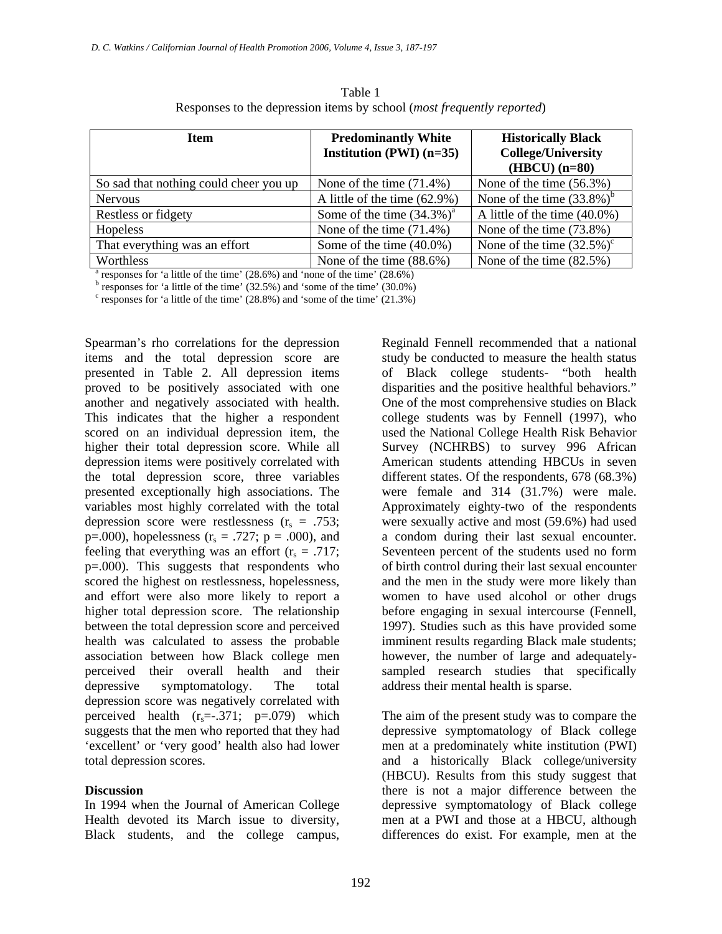| <b>Item</b>                                                                               | <b>Predominantly White</b><br>Institution (PWI) $(n=35)$ | <b>Historically Black</b><br><b>College/University</b><br>$(HBCU)$ $(n=80)$ |  |  |  |  |
|-------------------------------------------------------------------------------------------|----------------------------------------------------------|-----------------------------------------------------------------------------|--|--|--|--|
| So sad that nothing could cheer you up                                                    | None of the time $(71.4\%)$                              | None of the time $(56.3\%)$                                                 |  |  |  |  |
| <b>Nervous</b>                                                                            | A little of the time (62.9%)                             | None of the time $(33.8\%)^b$                                               |  |  |  |  |
| Restless or fidgety                                                                       | Some of the time $(34.3\%)^a$                            | A little of the time $(40.0\%)$                                             |  |  |  |  |
| Hopeless                                                                                  | None of the time $(71.4\%)$                              | None of the time (73.8%)                                                    |  |  |  |  |
| That everything was an effort                                                             | Some of the time $(40.0\%)$                              | None of the time $(32.5\%)^c$                                               |  |  |  |  |
| Worthless                                                                                 | None of the time $(88.6\%)$                              | None of the time $(82.5\%)$                                                 |  |  |  |  |
| $^{\text{a}}$ regnonges for 's little of the time' (28.6%) and 'none of the time' (28.6%) |                                                          |                                                                             |  |  |  |  |

Table 1 Responses to the depression items by school (*most frequently reported*)

<sup>a</sup> responses for 'a little of the time' (28.6%) and 'none of the time' (28.6%) b<br><sup>b</sup> responses for 'a little of the time' (22.5%) and 'some of the time' (20.0%)

 $<sup>b</sup>$  responses for 'a little of the time' (32.5%) and 'some of the time' (30.0%)</sup>

 $\text{c}$  responses for 'a little of the time' (28.8%) and 'some of the time' (21.3%)

Spearman's rho correlations for the depression items and the total depression score are presented in Table 2. All depression items proved to be positively associated with one another and negatively associated with health. This indicates that the higher a respondent scored on an individual depression item, the higher their total depression score. While all depression items were positively correlated with the total depression score, three variables presented exceptionally high associations. The variables most highly correlated with the total depression score were restlessness  $(r_s = .753)$ ; p=.000), hopelessness ( $r_s = .727$ ; p = .000), and feeling that everything was an effort  $(r_s = .717)$ ; p=.000). This suggests that respondents who scored the highest on restlessness, hopelessness, and effort were also more likely to report a higher total depression score. The relationship between the total depression score and perceived health was calculated to assess the probable association between how Black college men perceived their overall health and their depressive symptomatology. The total depression score was negatively correlated with perceived health  $(r_s=-.371; p=.079)$  which suggests that the men who reported that they had 'excellent' or 'very good' health also had lower total depression scores.

#### **Discussion**

In 1994 when the Journal of American College Health devoted its March issue to diversity, Black students, and the college campus, Reginald Fennell recommended that a national study be conducted to measure the health status of Black college students- "both health disparities and the positive healthful behaviors." One of the most comprehensive studies on Black college students was by Fennell (1997), who used the National College Health Risk Behavior Survey (NCHRBS) to survey 996 African American students attending HBCUs in seven different states. Of the respondents, 678 (68.3%) were female and 314 (31.7%) were male. Approximately eighty-two of the respondents were sexually active and most (59.6%) had used a condom during their last sexual encounter. Seventeen percent of the students used no form of birth control during their last sexual encounter and the men in the study were more likely than women to have used alcohol or other drugs before engaging in sexual intercourse (Fennell, 1997). Studies such as this have provided some imminent results regarding Black male students; however, the number of large and adequatelysampled research studies that specifically address their mental health is sparse.

The aim of the present study was to compare the depressive symptomatology of Black college men at a predominately white institution (PWI) and a historically Black college/university (HBCU). Results from this study suggest that there is not a major difference between the depressive symptomatology of Black college men at a PWI and those at a HBCU, although differences do exist. For example, men at the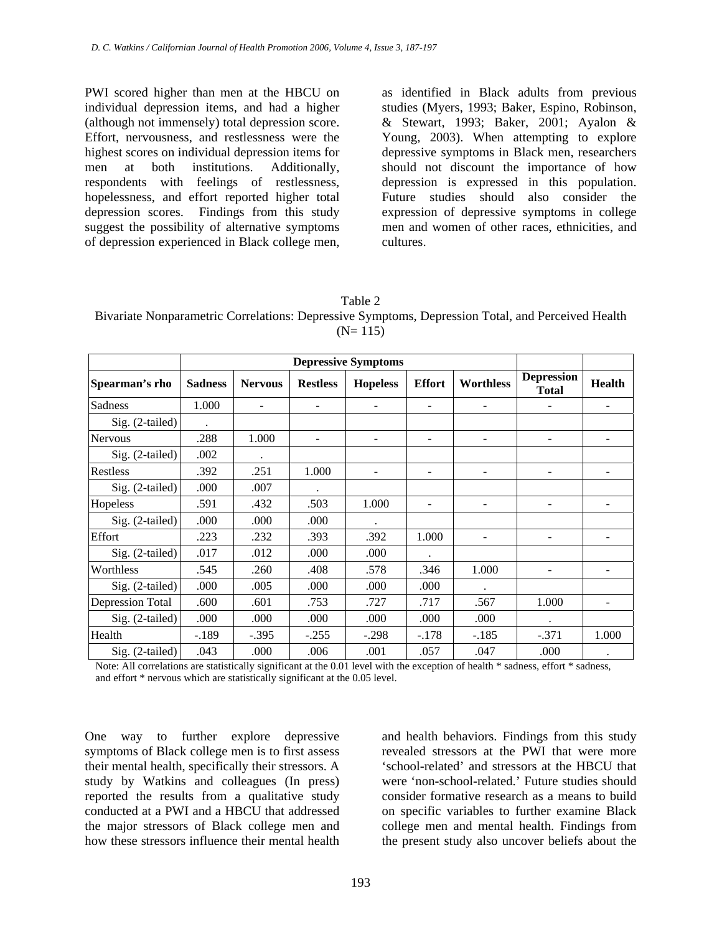PWI scored higher than men at the HBCU on individual depression items, and had a higher (although not immensely) total depression score. Effort, nervousness, and restlessness were the highest scores on individual depression items for men at both institutions. Additionally, respondents with feelings of restlessness, hopelessness, and effort reported higher total depression scores. Findings from this study suggest the possibility of alternative symptoms of depression experienced in Black college men,

as identified in Black adults from previous studies (Myers, 1993; Baker, Espino, Robinson, & Stewart, 1993; Baker, 2001; Ayalon & Young, 2003). When attempting to explore depressive symptoms in Black men, researchers should not discount the importance of how depression is expressed in this population. Future studies should also consider the expression of depressive symptoms in college men and women of other races, ethnicities, and cultures.

| ١<br>١<br>I I |  |
|---------------|--|
|---------------|--|

Bivariate Nonparametric Correlations: Depressive Symptoms, Depression Total, and Perceived Health  $(N= 115)$ 

|                   | <b>Depressive Symptoms</b> |                |                 |                 |               |                              |                                   |                          |
|-------------------|----------------------------|----------------|-----------------|-----------------|---------------|------------------------------|-----------------------------------|--------------------------|
| Spearman's rho    | <b>Sadness</b>             | <b>Nervous</b> | <b>Restless</b> | <b>Hopeless</b> | <b>Effort</b> | Worthless                    | <b>Depression</b><br><b>Total</b> | <b>Health</b>            |
| Sadness           | 1.000                      |                |                 |                 |               | $\qquad \qquad \blacksquare$ |                                   | $\overline{\phantom{a}}$ |
| $Sig. (2-tailed)$ |                            |                |                 |                 |               |                              |                                   |                          |
| <b>Nervous</b>    | .288                       | 1.000          |                 |                 |               | $\qquad \qquad \blacksquare$ |                                   |                          |
| Sig. (2-tailed)   | .002                       |                |                 |                 |               |                              |                                   |                          |
| Restless          | .392                       | .251           | 1.000           |                 |               | $\qquad \qquad \blacksquare$ |                                   |                          |
| Sig. (2-tailed)   | .000                       | .007           |                 |                 |               |                              |                                   |                          |
| Hopeless          | .591                       | .432           | .503            | 1.000           |               | $\overline{\phantom{a}}$     |                                   | $\overline{\phantom{a}}$ |
| Sig. (2-tailed)   | .000                       | .000           | .000            |                 |               |                              |                                   |                          |
| Effort            | .223                       | .232           | .393            | .392            | 1.000         | $\qquad \qquad \blacksquare$ |                                   |                          |
| $Sig. (2-tailed)$ | .017                       | .012           | .000            | .000            |               |                              |                                   |                          |
| Worthless         | .545                       | .260           | .408            | .578            | .346          | 1.000                        |                                   |                          |
| Sig. (2-tailed)   | .000                       | .005           | .000            | .000            | .000          |                              |                                   |                          |
| Depression Total  | .600                       | .601           | .753            | .727            | .717          | .567                         | 1.000                             |                          |
| $Sig. (2-tailed)$ | .000                       | .000           | .000            | .000            | .000          | .000                         |                                   |                          |
| Health            | $-.189$                    | $-.395$        | $-.255$         | $-.298$         | $-.178$       | $-.185$                      | $-.371$                           | 1.000                    |
| $Sig. (2-tailed)$ | .043                       | .000           | .006            | .001            | .057          | .047                         | .000                              |                          |

Note: All correlations are statistically significant at the 0.01 level with the exception of health \* sadness, effort \* sadness, and effort \* nervous which are statistically significant at the 0.05 level.

One way to further explore depressive symptoms of Black college men is to first assess their mental health, specifically their stressors. A study by Watkins and colleagues (In press) reported the results from a qualitative study conducted at a PWI and a HBCU that addressed the major stressors of Black college men and how these stressors influence their mental health

and health behaviors. Findings from this study revealed stressors at the PWI that were more 'school-related' and stressors at the HBCU that were 'non-school-related.' Future studies should consider formative research as a means to build on specific variables to further examine Black college men and mental health. Findings from the present study also uncover beliefs about the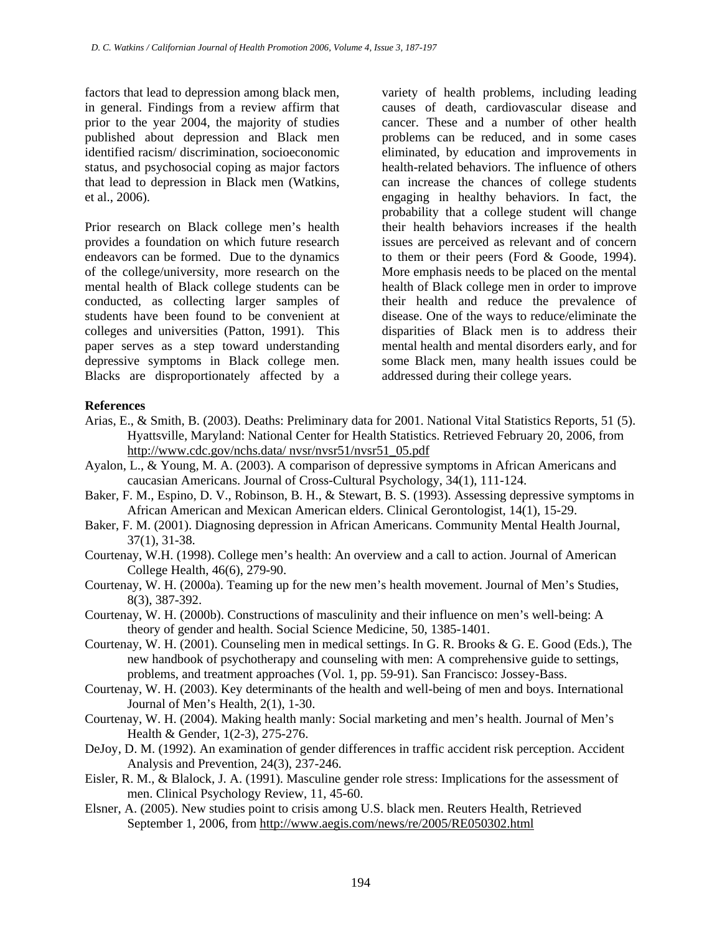factors that lead to depression among black men, in general. Findings from a review affirm that prior to the year 2004, the majority of studies published about depression and Black men identified racism/ discrimination, socioeconomic status, and psychosocial coping as major factors that lead to depression in Black men (Watkins, et al., 2006).

Prior research on Black college men's health provides a foundation on which future research endeavors can be formed. Due to the dynamics of the college/university, more research on the mental health of Black college students can be conducted, as collecting larger samples of students have been found to be convenient at colleges and universities (Patton, 1991). This paper serves as a step toward understanding depressive symptoms in Black college men. Blacks are disproportionately affected by a

variety of health problems, including leading causes of death, cardiovascular disease and cancer. These and a number of other health problems can be reduced, and in some cases eliminated, by education and improvements in health-related behaviors. The influence of others can increase the chances of college students engaging in healthy behaviors. In fact, the probability that a college student will change their health behaviors increases if the health issues are perceived as relevant and of concern to them or their peers (Ford & Goode, 1994). More emphasis needs to be placed on the mental health of Black college men in order to improve their health and reduce the prevalence of disease. One of the ways to reduce/eliminate the disparities of Black men is to address their mental health and mental disorders early, and for some Black men, many health issues could be addressed during their college years.

#### **References**

- Arias, E., & Smith, B. (2003). Deaths: Preliminary data for 2001. National Vital Statistics Reports, 51 (5). Hyattsville, Maryland: National Center for Health Statistics. Retrieved February 20, 2006, from [http://www.cdc.gov/nchs.data/ nvsr/nvsr51/nvsr51\\_05.pdf](http://www.cdc.gov/nchs.data/ nvsr/nvsr51/nvsr51_05.pdf)
- Ayalon, L., & Young, M. A. (2003). A comparison of depressive symptoms in African Americans and caucasian Americans. Journal of Cross-Cultural Psychology, 34(1), 111-124.
- Baker, F. M., Espino, D. V., Robinson, B. H., & Stewart, B. S. (1993). Assessing depressive symptoms in African American and Mexican American elders. Clinical Gerontologist, 14(1), 15-29.
- Baker, F. M. (2001). Diagnosing depression in African Americans. Community Mental Health Journal, 37(1), 31-38.
- Courtenay, W.H. (1998). College men's health: An overview and a call to action. Journal of American College Health, 46(6), 279-90.
- Courtenay, W. H. (2000a). Teaming up for the new men's health movement. Journal of Men's Studies, 8(3), 387-392.
- Courtenay, W. H. (2000b). Constructions of masculinity and their influence on men's well-being: A theory of gender and health. Social Science Medicine, 50, 1385-1401.
- Courtenay, W. H. (2001). Counseling men in medical settings. In G. R. Brooks & G. E. Good (Eds.), The new handbook of psychotherapy and counseling with men: A comprehensive guide to settings, problems, and treatment approaches (Vol. 1, pp. 59-91). San Francisco: Jossey-Bass.
- Courtenay, W. H. (2003). Key determinants of the health and well-being of men and boys. International Journal of Men's Health, 2(1), 1-30.
- Courtenay, W. H. (2004). Making health manly: Social marketing and men's health. Journal of Men's Health & Gender, 1(2-3), 275-276.
- DeJoy, D. M. (1992). An examination of gender differences in traffic accident risk perception. Accident Analysis and Prevention, 24(3), 237-246.
- Eisler, R. M., & Blalock, J. A. (1991). Masculine gender role stress: Implications for the assessment of men. Clinical Psychology Review, 11, 45-60.
- Elsner, A. (2005). New studies point to crisis among U.S. black men. Reuters Health, Retrieved September 1, 2006, from <http://www.aegis.com/news/re/2005/RE050302.html>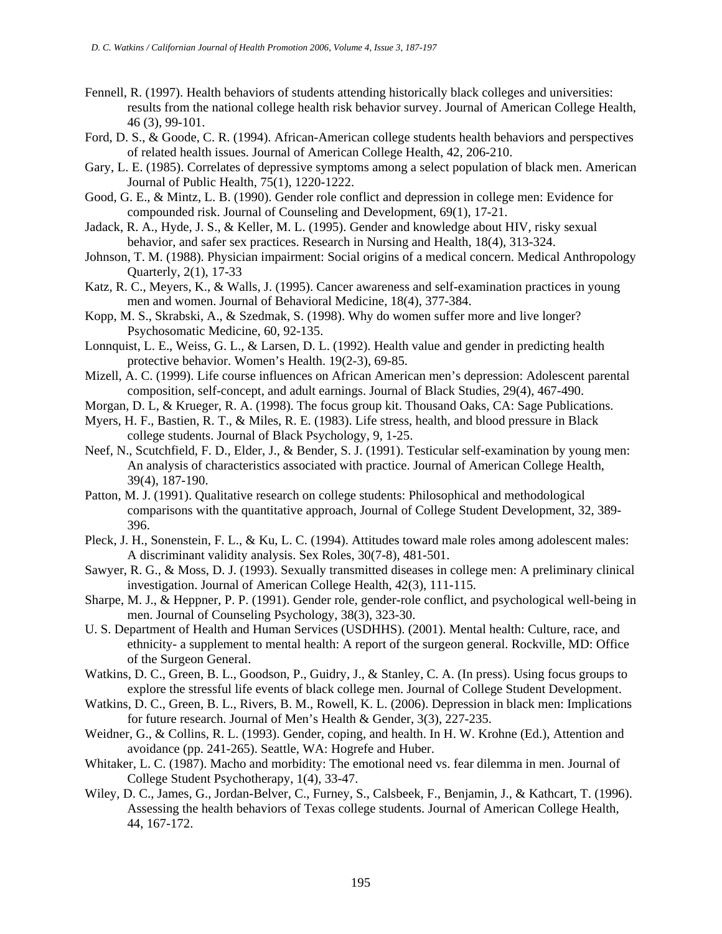- Fennell, R. (1997). Health behaviors of students attending historically black colleges and universities: results from the national college health risk behavior survey. Journal of American College Health, 46 (3), 99-101.
- Ford, D. S., & Goode, C. R. (1994). African-American college students health behaviors and perspectives of related health issues. Journal of American College Health, 42, 206-210.
- Gary, L. E. (1985). Correlates of depressive symptoms among a select population of black men. American Journal of Public Health, 75(1), 1220-1222.
- Good, G. E., & Mintz, L. B. (1990). Gender role conflict and depression in college men: Evidence for compounded risk. Journal of Counseling and Development, 69(1), 17-21.
- Jadack, R. A., Hyde, J. S., & Keller, M. L. (1995). Gender and knowledge about HIV, risky sexual behavior, and safer sex practices. Research in Nursing and Health, 18(4), 313-324.
- Johnson, T. M. (1988). Physician impairment: Social origins of a medical concern. Medical Anthropology Quarterly, 2(1), 17-33
- Katz, R. C., Meyers, K., & Walls, J. (1995). Cancer awareness and self-examination practices in young men and women. Journal of Behavioral Medicine, 18(4), 377-384.
- Kopp, M. S., Skrabski, A., & Szedmak, S. (1998). Why do women suffer more and live longer? Psychosomatic Medicine, 60, 92-135.
- Lonnquist, L. E., Weiss, G. L., & Larsen, D. L. (1992). Health value and gender in predicting health protective behavior. Women's Health. 19(2-3), 69-85.
- Mizell, A. C. (1999). Life course influences on African American men's depression: Adolescent parental composition, self-concept, and adult earnings. Journal of Black Studies, 29(4), 467-490.
- Morgan, D. L, & Krueger, R. A. (1998). The focus group kit. Thousand Oaks, CA: Sage Publications.
- Myers, H. F., Bastien, R. T., & Miles, R. E. (1983). Life stress, health, and blood pressure in Black college students. Journal of Black Psychology, 9, 1-25.
- Neef, N., Scutchfield, F. D., Elder, J., & Bender, S. J. (1991). Testicular self-examination by young men: An analysis of characteristics associated with practice. Journal of American College Health, 39(4), 187-190.
- Patton, M. J. (1991). Qualitative research on college students: Philosophical and methodological comparisons with the quantitative approach, Journal of College Student Development, 32, 389- 396.
- Pleck, J. H., Sonenstein, F. L., & Ku, L. C. (1994). Attitudes toward male roles among adolescent males: A discriminant validity analysis. Sex Roles, 30(7-8), 481-501.
- Sawyer, R. G., & Moss, D. J. (1993). Sexually transmitted diseases in college men: A preliminary clinical investigation. Journal of American College Health, 42(3), 111-115.
- Sharpe, M. J., & Heppner, P. P. (1991). Gender role, gender-role conflict, and psychological well-being in men. Journal of Counseling Psychology, 38(3), 323-30.
- U. S. Department of Health and Human Services (USDHHS). (2001). Mental health: Culture, race, and ethnicity- a supplement to mental health: A report of the surgeon general. Rockville, MD: Office of the Surgeon General.
- Watkins, D. C., Green, B. L., Goodson, P., Guidry, J., & Stanley, C. A. (In press). Using focus groups to explore the stressful life events of black college men. Journal of College Student Development.
- Watkins, D. C., Green, B. L., Rivers, B. M., Rowell, K. L. (2006). Depression in black men: Implications for future research. Journal of Men's Health & Gender, 3(3), 227-235.
- Weidner, G., & Collins, R. L. (1993). Gender, coping, and health. In H. W. Krohne (Ed.), Attention and avoidance (pp. 241-265). Seattle, WA: Hogrefe and Huber.
- Whitaker, L. C. (1987). Macho and morbidity: The emotional need vs. fear dilemma in men. Journal of College Student Psychotherapy, 1(4), 33-47.
- Wiley, D. C., James, G., Jordan-Belver, C., Furney, S., Calsbeek, F., Benjamin, J., & Kathcart, T. (1996). Assessing the health behaviors of Texas college students. Journal of American College Health, 44, 167-172.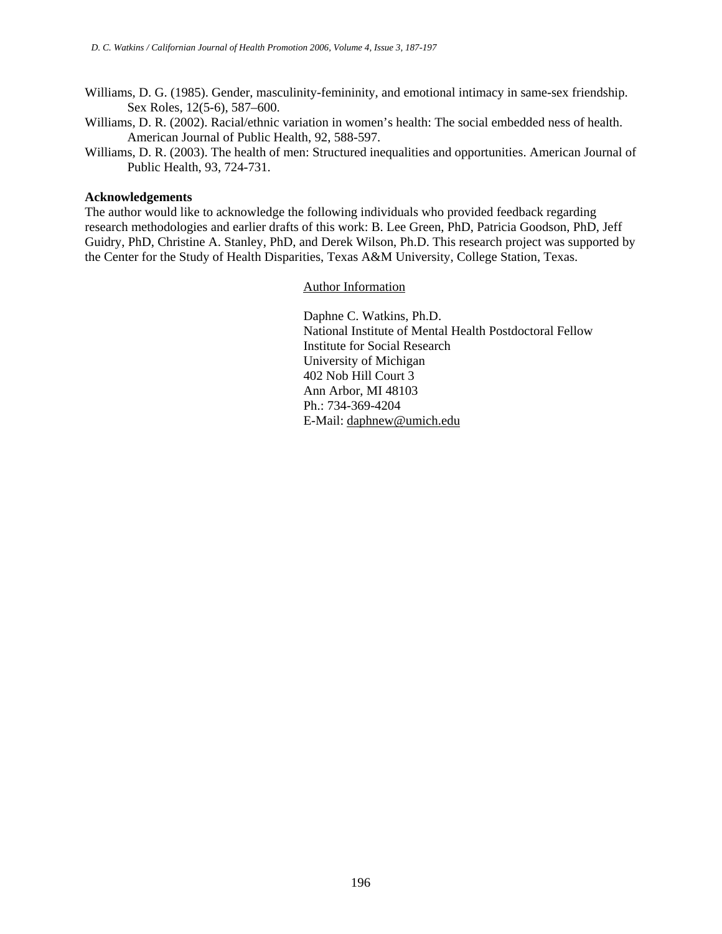- Williams, D. G. (1985). Gender, masculinity-femininity, and emotional intimacy in same-sex friendship. Sex Roles, 12(5-6), 587–600.
- Williams, D. R. (2002). Racial/ethnic variation in women's health: The social embedded ness of health. American Journal of Public Health, 92, 588-597.
- Williams, D. R. (2003). The health of men: Structured inequalities and opportunities. American Journal of Public Health, 93, 724-731.

#### **Acknowledgements**

The author would like to acknowledge the following individuals who provided feedback regarding research methodologies and earlier drafts of this work: B. Lee Green, PhD, Patricia Goodson, PhD, Jeff Guidry, PhD, Christine A. Stanley, PhD, and Derek Wilson, Ph.D. This research project was supported by the Center for the Study of Health Disparities, Texas A&M University, College Station, Texas.

Author Information

Daphne C. Watkins, Ph.D. National Institute of Mental Health Postdoctoral Fellow Institute for Social Research University of Michigan 402 Nob Hill Court 3 Ann Arbor, MI 48103 Ph.: 734-369-4204 E-Mail: [daphnew@umich.edu](mailto:daphnew@umich.edu)